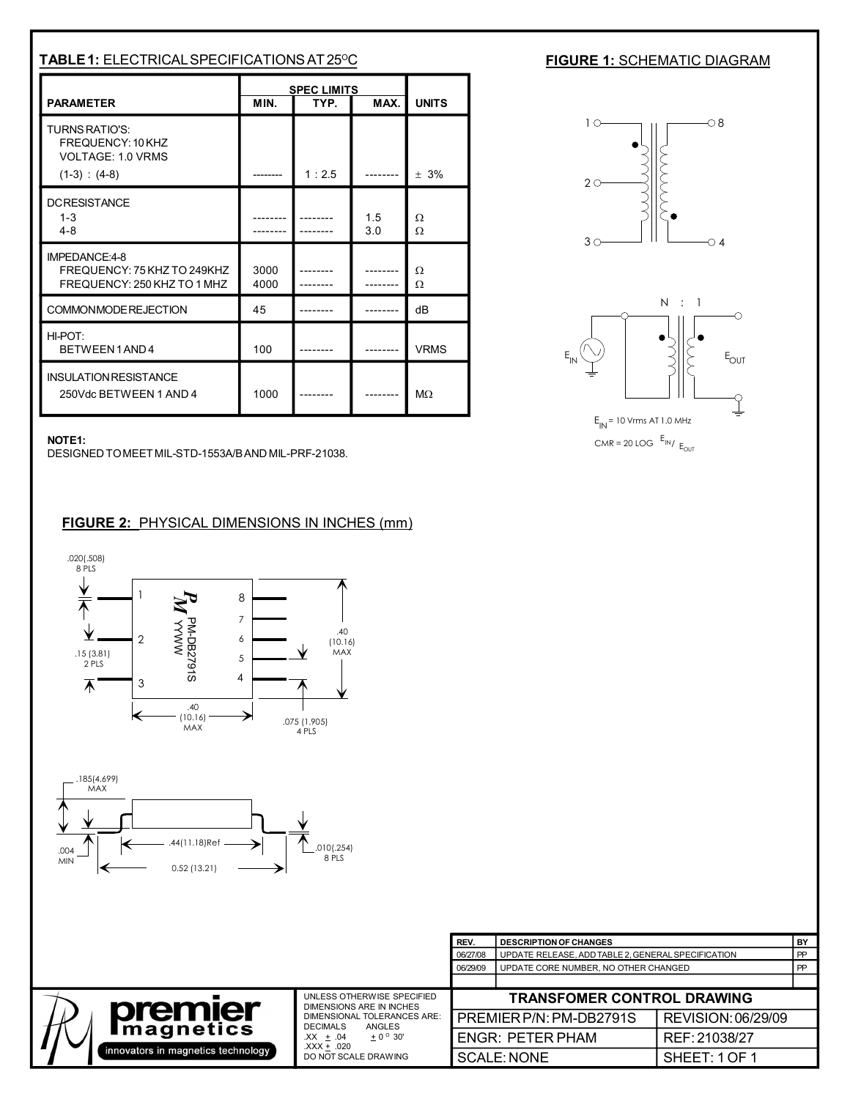| <b>TABLE 1: ELECTRICAL SPECIFICATIONS AT 25°C</b>                                  |                                            |       |              |             |  |
|------------------------------------------------------------------------------------|--------------------------------------------|-------|--------------|-------------|--|
| <b>PARAMETER</b>                                                                   | <b>SPEC LIMITS</b><br>MIN.<br>TYP.<br>MAX. |       | <b>UNITS</b> |             |  |
| TURNS RATIO'S:<br>FREQUENCY: 10 KHZ<br><b>VOLTAGE: 1.0 VRMS</b><br>$(1-3) : (4-8)$ |                                            | 1:2.5 |              | $± 3\%$     |  |
| <b>DCRESISTANCE</b><br>$1 - 3$<br>$4 - 8$                                          |                                            |       | 1.5<br>3.0   | Ω<br>Ω      |  |
| IMPEDANCE:4-8<br>FREQUENCY: 75 KHZ TO 249KHZ<br>FREQUENCY: 250 KHZ TO 1 MHZ        | 3000<br>4000                               |       |              | Ω<br>Ω      |  |
| COMMONMODE REJECTION                                                               | 45                                         |       |              | dВ          |  |
| HI-POT:<br>BETWEEN1AND4                                                            | 100                                        |       |              | <b>VRMS</b> |  |
| <b>INSULATION RESISTANCE</b><br>250Vdc BETWEEN 1 AND 4                             | 1000                                       |       |              | $M\Omega$   |  |

## **FIGURE 1: SCHEMATIC DIAGRAM**



## **NOTE1:**

DESIGNED TO MEET MIL-STD-1553A/B AND MIL-PRF-21038.

## **FIGURE 2:** PHYSICAL DIMENSIONS IN INCHES (mm)





|                                                                    |                                                                                                                                                                                            | REV.                              | <b>DESCRIPTION OF CHANGES</b>                      |                    | <b>BY</b> |
|--------------------------------------------------------------------|--------------------------------------------------------------------------------------------------------------------------------------------------------------------------------------------|-----------------------------------|----------------------------------------------------|--------------------|-----------|
|                                                                    |                                                                                                                                                                                            | 06/27/08                          | UPDATE RELEASE, ADD TABLE 2, GENERAL SPECIFICATION |                    | PP        |
|                                                                    |                                                                                                                                                                                            | 06/29/09                          | UPDATE CORE NUMBER. NO OTHER CHANGED               |                    | PP        |
|                                                                    |                                                                                                                                                                                            |                                   |                                                    |                    |           |
| premier<br><b>Imagnetics</b><br>innovators in magnetics technology | UNLESS OTHERWISE SPECIFIED<br>DIMENSIONS ARE IN INCHES<br>DIMENSIONAL TOLERANCES ARE:<br>ANGLES<br><b>DECIMALS</b><br>$+0^{\circ}30'$<br>$XX + .04$<br>.XXX + .020<br>DO NOT SCALE DRAWING | <b>TRANSFOMER CONTROL DRAWING</b> |                                                    |                    |           |
|                                                                    |                                                                                                                                                                                            |                                   | PREMIER P/N: PM-DB2791S                            | REVISION: 06/29/09 |           |
|                                                                    |                                                                                                                                                                                            |                                   | <b>ENGR: PETER PHAM</b>                            | REF: 21038/27      |           |
|                                                                    |                                                                                                                                                                                            |                                   | <b>SCALE: NONE</b>                                 | SHEET:1OF1         |           |